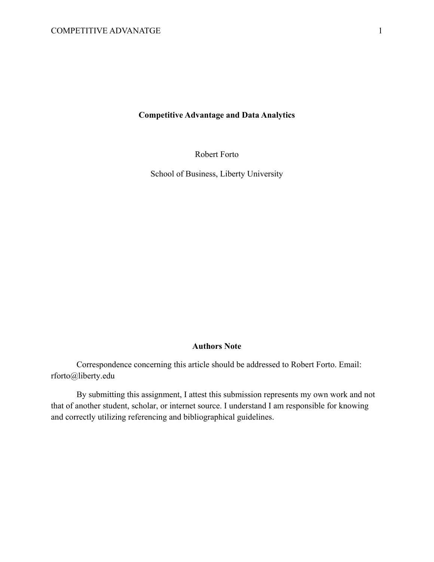# **Competitive Advantage and Data Analytics**

Robert Forto

School of Business, Liberty University

# **Authors Note**

Correspondence concerning this article should be addressed to Robert Forto. Email: rforto@liberty.edu

By submitting this assignment, I attest this submission represents my own work and not that of another student, scholar, or internet source. I understand I am responsible for knowing and correctly utilizing referencing and bibliographical guidelines.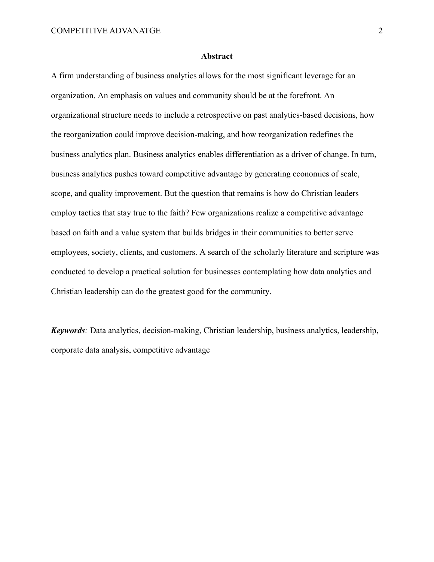### **Abstract**

A firm understanding of business analytics allows for the most significant leverage for an organization. An emphasis on values and community should be at the forefront. An organizational structure needs to include a retrospective on past analytics-based decisions, how the reorganization could improve decision-making, and how reorganization redefines the business analytics plan. Business analytics enables differentiation as a driver of change. In turn, business analytics pushes toward competitive advantage by generating economies of scale, scope, and quality improvement. But the question that remains is how do Christian leaders employ tactics that stay true to the faith? Few organizations realize a competitive advantage based on faith and a value system that builds bridges in their communities to better serve employees, society, clients, and customers. A search of the scholarly literature and scripture was conducted to develop a practical solution for businesses contemplating how data analytics and Christian leadership can do the greatest good for the community.

*Keywords:* Data analytics, decision-making, Christian leadership, business analytics, leadership, corporate data analysis, competitive advantage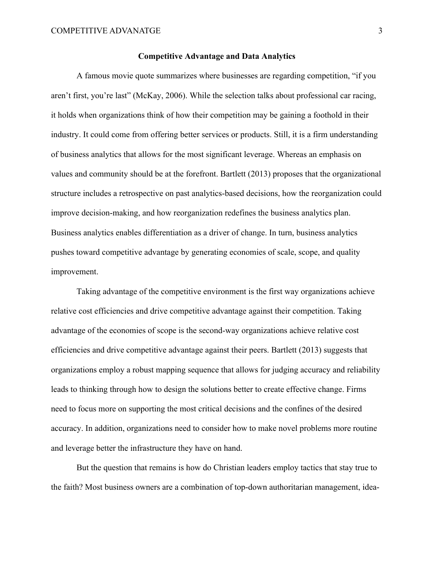## **Competitive Advantage and Data Analytics**

A famous movie quote summarizes where businesses are regarding competition, "if you aren't first, you're last" (McKay, 2006). While the selection talks about professional car racing, it holds when organizations think of how their competition may be gaining a foothold in their industry. It could come from offering better services or products. Still, it is a firm understanding of business analytics that allows for the most significant leverage. Whereas an emphasis on values and community should be at the forefront. Bartlett (2013) proposes that the organizational structure includes a retrospective on past analytics-based decisions, how the reorganization could improve decision-making, and how reorganization redefines the business analytics plan. Business analytics enables differentiation as a driver of change. In turn, business analytics pushes toward competitive advantage by generating economies of scale, scope, and quality improvement.

Taking advantage of the competitive environment is the first way organizations achieve relative cost efficiencies and drive competitive advantage against their competition. Taking advantage of the economies of scope is the second-way organizations achieve relative cost efficiencies and drive competitive advantage against their peers. Bartlett (2013) suggests that organizations employ a robust mapping sequence that allows for judging accuracy and reliability leads to thinking through how to design the solutions better to create effective change. Firms need to focus more on supporting the most critical decisions and the confines of the desired accuracy. In addition, organizations need to consider how to make novel problems more routine and leverage better the infrastructure they have on hand.

But the question that remains is how do Christian leaders employ tactics that stay true to the faith? Most business owners are a combination of top-down authoritarian management, idea-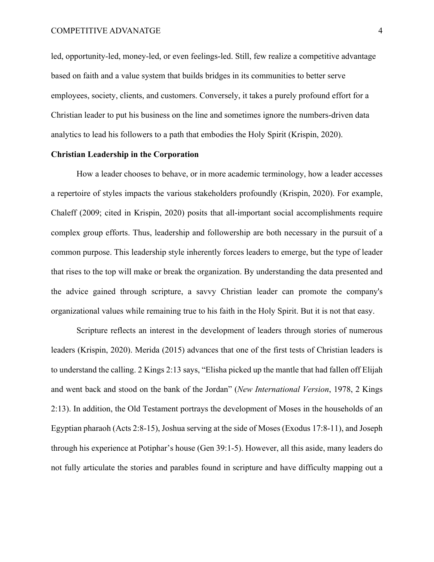led, opportunity-led, money-led, or even feelings-led. Still, few realize a competitive advantage based on faith and a value system that builds bridges in its communities to better serve employees, society, clients, and customers. Conversely, it takes a purely profound effort for a Christian leader to put his business on the line and sometimes ignore the numbers-driven data analytics to lead his followers to a path that embodies the Holy Spirit (Krispin, 2020).

#### **Christian Leadership in the Corporation**

How a leader chooses to behave, or in more academic terminology, how a leader accesses a repertoire of styles impacts the various stakeholders profoundly (Krispin, 2020). For example, Chaleff (2009; cited in Krispin, 2020) posits that all-important social accomplishments require complex group efforts. Thus, leadership and followership are both necessary in the pursuit of a common purpose. This leadership style inherently forces leaders to emerge, but the type of leader that rises to the top will make or break the organization. By understanding the data presented and the advice gained through scripture, a savvy Christian leader can promote the company's organizational values while remaining true to his faith in the Holy Spirit. But it is not that easy.

Scripture reflects an interest in the development of leaders through stories of numerous leaders (Krispin, 2020). Merida (2015) advances that one of the first tests of Christian leaders is to understand the calling. 2 Kings 2:13 says, "Elisha picked up the mantle that had fallen off Elijah and went back and stood on the bank of the Jordan" (*New International Version*, 1978, 2 Kings 2:13). In addition, the Old Testament portrays the development of Moses in the households of an Egyptian pharaoh (Acts 2:8-15), Joshua serving at the side of Moses (Exodus 17:8-11), and Joseph through his experience at Potiphar's house (Gen 39:1-5). However, all this aside, many leaders do not fully articulate the stories and parables found in scripture and have difficulty mapping out a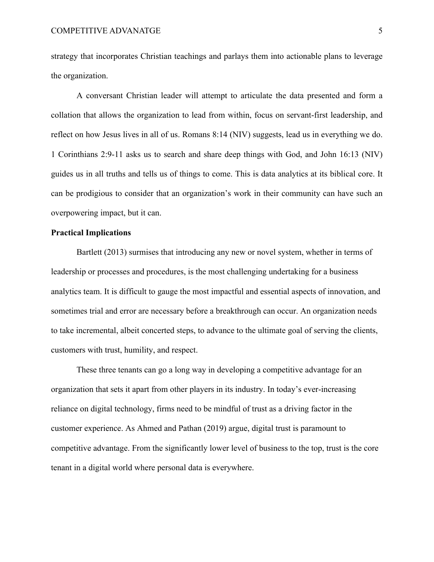strategy that incorporates Christian teachings and parlays them into actionable plans to leverage the organization.

A conversant Christian leader will attempt to articulate the data presented and form a collation that allows the organization to lead from within, focus on servant-first leadership, and reflect on how Jesus lives in all of us. Romans 8:14 (NIV) suggests, lead us in everything we do. 1 Corinthians 2:9-11 asks us to search and share deep things with God, and John 16:13 (NIV) guides us in all truths and tells us of things to come. This is data analytics at its biblical core. It can be prodigious to consider that an organization's work in their community can have such an overpowering impact, but it can.

# **Practical Implications**

Bartlett (2013) surmises that introducing any new or novel system, whether in terms of leadership or processes and procedures, is the most challenging undertaking for a business analytics team. It is difficult to gauge the most impactful and essential aspects of innovation, and sometimes trial and error are necessary before a breakthrough can occur. An organization needs to take incremental, albeit concerted steps, to advance to the ultimate goal of serving the clients, customers with trust, humility, and respect.

These three tenants can go a long way in developing a competitive advantage for an organization that sets it apart from other players in its industry. In today's ever-increasing reliance on digital technology, firms need to be mindful of trust as a driving factor in the customer experience. As Ahmed and Pathan (2019) argue, digital trust is paramount to competitive advantage. From the significantly lower level of business to the top, trust is the core tenant in a digital world where personal data is everywhere.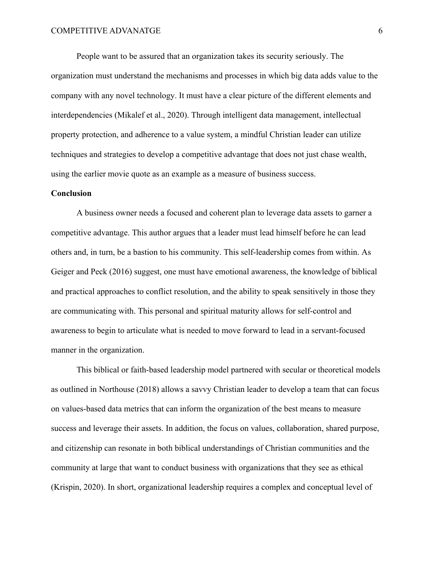People want to be assured that an organization takes its security seriously. The organization must understand the mechanisms and processes in which big data adds value to the company with any novel technology. It must have a clear picture of the different elements and interdependencies (Mikalef et al., 2020). Through intelligent data management, intellectual property protection, and adherence to a value system, a mindful Christian leader can utilize techniques and strategies to develop a competitive advantage that does not just chase wealth, using the earlier movie quote as an example as a measure of business success.

## **Conclusion**

A business owner needs a focused and coherent plan to leverage data assets to garner a competitive advantage. This author argues that a leader must lead himself before he can lead others and, in turn, be a bastion to his community. This self-leadership comes from within. As Geiger and Peck (2016) suggest, one must have emotional awareness, the knowledge of biblical and practical approaches to conflict resolution, and the ability to speak sensitively in those they are communicating with. This personal and spiritual maturity allows for self-control and awareness to begin to articulate what is needed to move forward to lead in a servant-focused manner in the organization.

This biblical or faith-based leadership model partnered with secular or theoretical models as outlined in Northouse (2018) allows a savvy Christian leader to develop a team that can focus on values-based data metrics that can inform the organization of the best means to measure success and leverage their assets. In addition, the focus on values, collaboration, shared purpose, and citizenship can resonate in both biblical understandings of Christian communities and the community at large that want to conduct business with organizations that they see as ethical (Krispin, 2020). In short, organizational leadership requires a complex and conceptual level of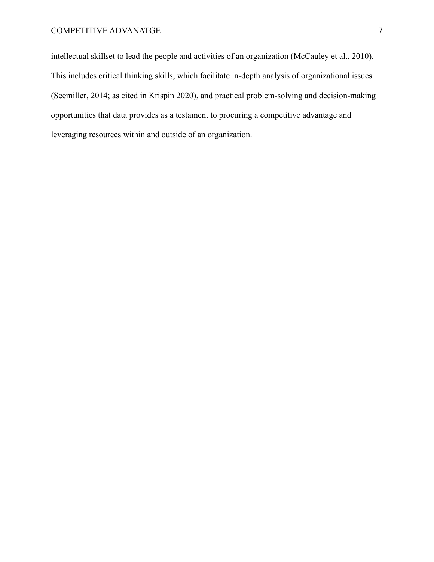intellectual skillset to lead the people and activities of an organization (McCauley et al., 2010). This includes critical thinking skills, which facilitate in-depth analysis of organizational issues (Seemiller, 2014; as cited in Krispin 2020), and practical problem-solving and decision-making opportunities that data provides as a testament to procuring a competitive advantage and leveraging resources within and outside of an organization.